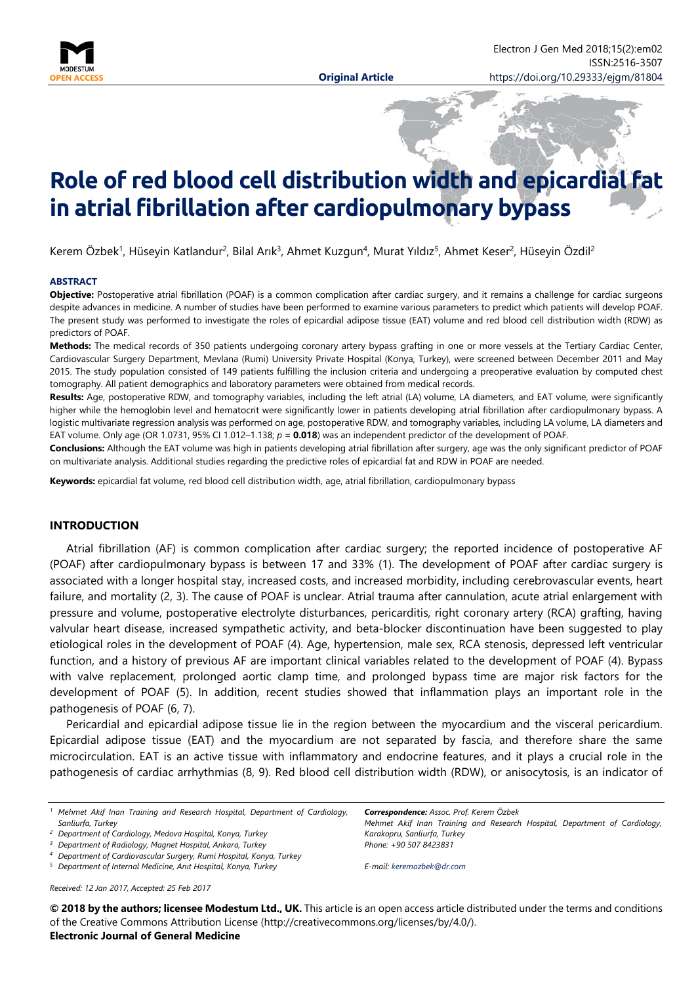

Electron J Gen Med 2018;15(2):em02

ISSN:2516-3507

# **Role of red blood cell distribution width and epicardial fat in atrial fibrillation after cardiopulmonary bypass**

Kerem Özbek<sup>1</sup>, Hüseyin Katlandur<sup>2</sup>, Bilal Arık<sup>3</sup>, Ahmet Kuzgun<sup>4</sup>, Murat Yıldız<sup>5</sup>, Ahmet Keser<sup>2</sup>, Hüseyin Özdil<sup>2</sup>

#### **ABSTRACT**

**Objective:** Postoperative atrial fibrillation (POAF) is a common complication after cardiac surgery, and it remains a challenge for cardiac surgeons despite advances in medicine. A number of studies have been performed to examine various parameters to predict which patients will develop POAF. The present study was performed to investigate the roles of epicardial adipose tissue (EAT) volume and red blood cell distribution width (RDW) as predictors of POAF.

**Methods:** The medical records of 350 patients undergoing coronary artery bypass grafting in one or more vessels at the Tertiary Cardiac Center, Cardiovascular Surgery Department, Mevlana (Rumi) University Private Hospital (Konya, Turkey), were screened between December 2011 and May 2015. The study population consisted of 149 patients fulfilling the inclusion criteria and undergoing a preoperative evaluation by computed chest tomography. All patient demographics and laboratory parameters were obtained from medical records.

**Results:** Age, postoperative RDW, and tomography variables, including the left atrial (LA) volume, LA diameters, and EAT volume, were significantly higher while the hemoglobin level and hematocrit were significantly lower in patients developing atrial fibrillation after cardiopulmonary bypass. A logistic multivariate regression analysis was performed on age, postoperative RDW, and tomography variables, including LA volume, LA diameters and EAT volume. Only age (OR 1.0731, 95% CI 1.012–1.138; *p* = **0.018**) was an independent predictor of the development of POAF.

**Conclusions:** Although the EAT volume was high in patients developing atrial fibrillation after surgery, age was the only significant predictor of POAF on multivariate analysis. Additional studies regarding the predictive roles of epicardial fat and RDW in POAF are needed.

**Keywords:** epicardial fat volume, red blood cell distribution width, age, atrial fibrillation, cardiopulmonary bypass

#### **INTRODUCTION**

Atrial fibrillation (AF) is common complication after cardiac surgery; the reported incidence of postoperative AF (POAF) after cardiopulmonary bypass is between 17 and 33% (1). The development of POAF after cardiac surgery is associated with a longer hospital stay, increased costs, and increased morbidity, including cerebrovascular events, heart failure, and mortality (2, 3). The cause of POAF is unclear. Atrial trauma after cannulation, acute atrial enlargement with pressure and volume, postoperative electrolyte disturbances, pericarditis, right coronary artery (RCA) grafting, having valvular heart disease, increased sympathetic activity, and beta-blocker discontinuation have been suggested to play etiological roles in the development of POAF (4). Age, hypertension, male sex, RCA stenosis, depressed left ventricular function, and a history of previous AF are important clinical variables related to the development of POAF (4). Bypass with valve replacement, prolonged aortic clamp time, and prolonged bypass time are major risk factors for the development of POAF (5). In addition, recent studies showed that inflammation plays an important role in the pathogenesis of POAF (6, 7).

Pericardial and epicardial adipose tissue lie in the region between the myocardium and the visceral pericardium. Epicardial adipose tissue (EAT) and the myocardium are not separated by fascia, and therefore share the same microcirculation. EAT is an active tissue with inflammatory and endocrine features, and it plays a crucial role in the pathogenesis of cardiac arrhythmias (8, 9). Red blood cell distribution width (RDW), or anisocytosis, is an indicator of

*Received: 12 Jan 2017, Accepted: 25 Feb 2017*

*Correspondence: Assoc. Prof. Kerem Özbek*

*Mehmet Akif Inan Training and Research Hospital, Department of Cardiology, Karakopru, Sanliurfa, Turkey Phone: +90 507 8423831*

*E-mail: [keremozbek@dr.com](mailto:keremozbek@dr.com)*

**© 2018 by the authors; licensee Modestum Ltd., UK.** This article is an open access article distributed under the terms and conditions of the Creative Commons Attribution License (http://creativecommons.org/licenses/by/4.0/).

**Electronic Journal of General Medicine**

*<sup>1</sup> Mehmet Akif Inan Training and Research Hospital, Department of Cardiology, Sanliurfa, Turkey*

*<sup>2</sup> Department of Cardiology, Medova Hospital, Konya, Turkey*

*<sup>3</sup> Department of Radiology, Magnet Hospital, Ankara, Turkey*

*<sup>4</sup> Department of Cardiovascular Surgery, Rumi Hospital, Konya, Turkey*

*<sup>5</sup> Department of Internal Medicine, Anıt Hospital, Konya, Turkey*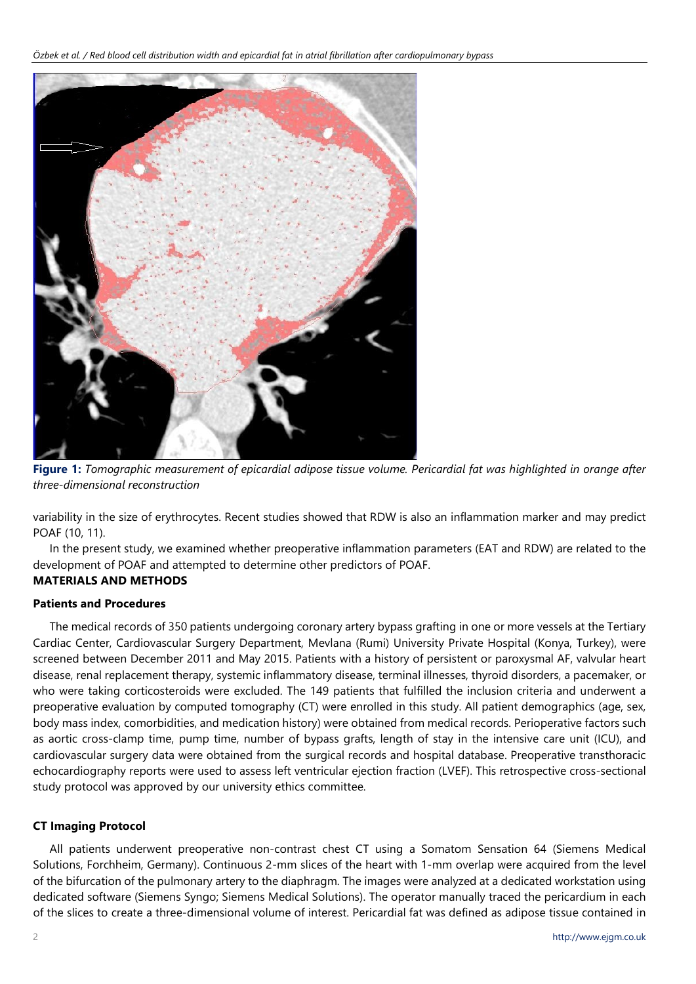

**Figure 1:** *Tomographic measurement of epicardial adipose tissue volume. Pericardial fat was highlighted in orange after three-dimensional reconstruction*

variability in the size of erythrocytes. Recent studies showed that RDW is also an inflammation marker and may predict POAF (10, 11).

In the present study, we examined whether preoperative inflammation parameters (EAT and RDW) are related to the development of POAF and attempted to determine other predictors of POAF.

# **MATERIALS AND METHODS**

# **Patients and Procedures**

The medical records of 350 patients undergoing coronary artery bypass grafting in one or more vessels at the Tertiary Cardiac Center, Cardiovascular Surgery Department, Mevlana (Rumi) University Private Hospital (Konya, Turkey), were screened between December 2011 and May 2015. Patients with a history of persistent or paroxysmal AF, valvular heart disease, renal replacement therapy, systemic inflammatory disease, terminal illnesses, thyroid disorders, a pacemaker, or who were taking corticosteroids were excluded. The 149 patients that fulfilled the inclusion criteria and underwent a preoperative evaluation by computed tomography (CT) were enrolled in this study. All patient demographics (age, sex, body mass index, comorbidities, and medication history) were obtained from medical records. Perioperative factors such as aortic cross-clamp time, pump time, number of bypass grafts, length of stay in the intensive care unit (ICU), and cardiovascular surgery data were obtained from the surgical records and hospital database. Preoperative transthoracic echocardiography reports were used to assess left ventricular ejection fraction (LVEF). This retrospective cross-sectional study protocol was approved by our university ethics committee.

# **CT Imaging Protocol**

All patients underwent preoperative non-contrast chest CT using a Somatom Sensation 64 (Siemens Medical Solutions, Forchheim, Germany). Continuous 2-mm slices of the heart with 1-mm overlap were acquired from the level of the bifurcation of the pulmonary artery to the diaphragm. The images were analyzed at a dedicated workstation using dedicated software (Siemens Syngo; Siemens Medical Solutions). The operator manually traced the pericardium in each of the slices to create a three-dimensional volume of interest. Pericardial fat was defined as adipose tissue contained in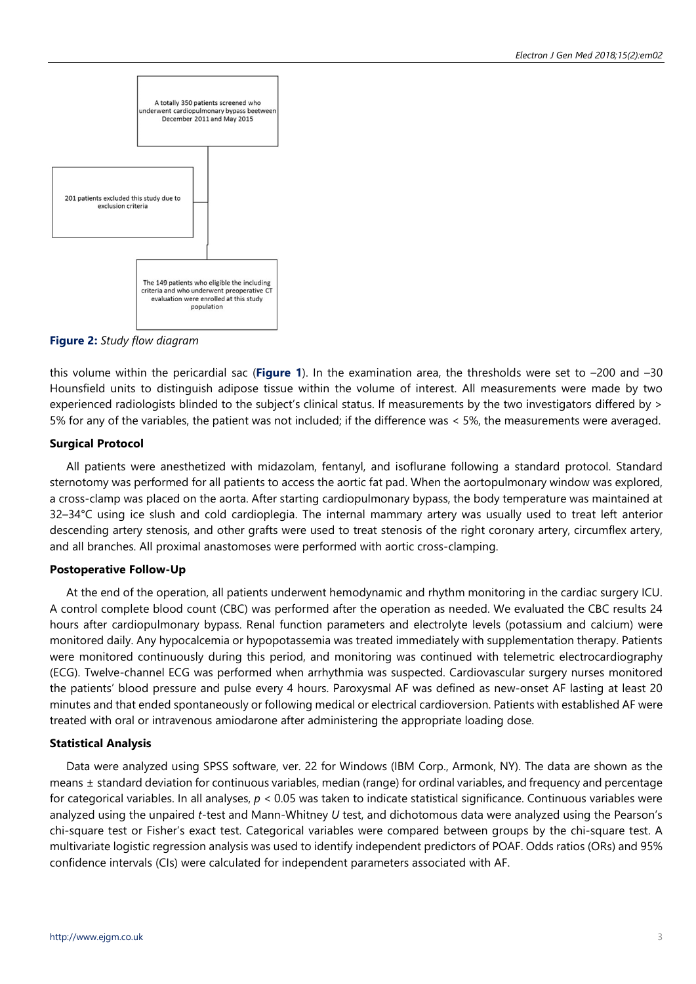

**Figure 2:** *Study flow diagram*

this volume within the pericardial sac (**Figure 1**). In the examination area, the thresholds were set to –200 and –30 Hounsfield units to distinguish adipose tissue within the volume of interest. All measurements were made by two experienced radiologists blinded to the subject's clinical status. If measurements by the two investigators differed by > 5% for any of the variables, the patient was not included; if the difference was < 5%, the measurements were averaged.

# **Surgical Protocol**

All patients were anesthetized with midazolam, fentanyl, and isoflurane following a standard protocol. Standard sternotomy was performed for all patients to access the aortic fat pad. When the aortopulmonary window was explored, a cross-clamp was placed on the aorta. After starting cardiopulmonary bypass, the body temperature was maintained at 32–34°C using ice slush and cold cardioplegia. The internal mammary artery was usually used to treat left anterior descending artery stenosis, and other grafts were used to treat stenosis of the right coronary artery, circumflex artery, and all branches. All proximal anastomoses were performed with aortic cross-clamping.

# **Postoperative Follow-Up**

At the end of the operation, all patients underwent hemodynamic and rhythm monitoring in the cardiac surgery ICU. A control complete blood count (CBC) was performed after the operation as needed. We evaluated the CBC results 24 hours after cardiopulmonary bypass. Renal function parameters and electrolyte levels (potassium and calcium) were monitored daily. Any hypocalcemia or hypopotassemia was treated immediately with supplementation therapy. Patients were monitored continuously during this period, and monitoring was continued with telemetric electrocardiography (ECG). Twelve-channel ECG was performed when arrhythmia was suspected. Cardiovascular surgery nurses monitored the patients' blood pressure and pulse every 4 hours. Paroxysmal AF was defined as new-onset AF lasting at least 20 minutes and that ended spontaneously or following medical or electrical cardioversion. Patients with established AF were treated with oral or intravenous amiodarone after administering the appropriate loading dose.

# **Statistical Analysis**

Data were analyzed using SPSS software, ver. 22 for Windows (IBM Corp., Armonk, NY). The data are shown as the means ± standard deviation for continuous variables, median (range) for ordinal variables, and frequency and percentage for categorical variables. In all analyses, *p* < 0.05 was taken to indicate statistical significance. Continuous variables were analyzed using the unpaired *t*-test and Mann-Whitney *U* test, and dichotomous data were analyzed using the Pearson's chi-square test or Fisher's exact test. Categorical variables were compared between groups by the chi-square test. A multivariate logistic regression analysis was used to identify independent predictors of POAF. Odds ratios (ORs) and 95% confidence intervals (CIs) were calculated for independent parameters associated with AF.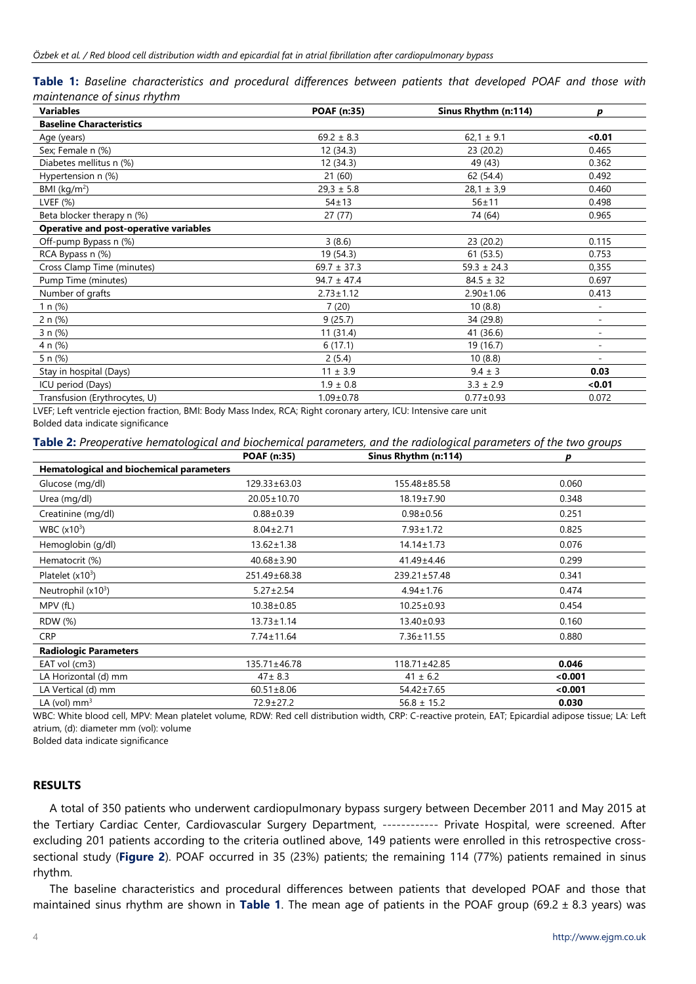|  | Table 1: Baseline characteristics and procedural differences between patients that developed POAF and those with |  |  |  |  |  |  |
|--|------------------------------------------------------------------------------------------------------------------|--|--|--|--|--|--|
|  | maintenance of sinus rhythm                                                                                      |  |  |  |  |  |  |

| <b>Variables</b>                              | <b>POAF (n:35)</b> | Sinus Rhythm (n:114) | D                        |
|-----------------------------------------------|--------------------|----------------------|--------------------------|
| <b>Baseline Characteristics</b>               |                    |                      |                          |
| Age (years)                                   | $69.2 \pm 8.3$     | $62,1 \pm 9.1$       | < 0.01                   |
| Sex; Female n (%)                             | 12 (34.3)          | 23 (20.2)            | 0.465                    |
| Diabetes mellitus n (%)                       | 12 (34.3)          | 49 (43)              | 0.362                    |
| Hypertension n (%)                            | 21(60)             | 62 (54.4)            | 0.492                    |
| BMI ( $\text{kg/m}^2$ )                       | $29.3 \pm 5.8$     | $28,1 \pm 3,9$       | 0.460                    |
| LVEF (%)                                      | $54 + 13$          | $56 + 11$            | 0.498                    |
| Beta blocker therapy n (%)                    | 27(77)             | 74 (64)              | 0.965                    |
| <b>Operative and post-operative variables</b> |                    |                      |                          |
| Off-pump Bypass n (%)                         | 3(8.6)             | 23 (20.2)            | 0.115                    |
| RCA Bypass n (%)                              | 19 (54.3)          | 61(53.5)             | 0.753                    |
| Cross Clamp Time (minutes)                    | $69.7 \pm 37.3$    | $59.3 \pm 24.3$      | 0,355                    |
| Pump Time (minutes)                           | $94.7 \pm 47.4$    | $84.5 \pm 32$        | 0.697                    |
| Number of grafts                              | $2.73 \pm 1.12$    | $2.90 \pm 1.06$      | 0.413                    |
| 1 $n$ (%)                                     | 7(20)              | 10(8.8)              | $\overline{a}$           |
| 2 n (%)                                       | 9(25.7)            | 34 (29.8)            | ٠                        |
| 3 n (%)                                       | 11(31.4)           | 41 (36.6)            | $\overline{\phantom{a}}$ |
| 4 n (%)                                       | 6(17.1)            | 19 (16.7)            |                          |
| 5 n (%)                                       | 2(5.4)             | 10(8.8)              |                          |
| Stay in hospital (Days)                       | $11 \pm 3.9$       | $9.4 \pm 3$          | 0.03                     |
| ICU period (Days)                             | $1.9 \pm 0.8$      | $3.3 \pm 2.9$        | < 0.01                   |
| Transfusion (Erythrocytes, U)                 | $1.09 \pm 0.78$    | $0.77 \pm 0.93$      | 0.072                    |

LVEF; Left ventricle ejection fraction, BMI: Body Mass Index, RCA; Right coronary artery, ICU: Intensive care unit Bolded data indicate significance

#### **Table 2:** *Preoperative hematological and biochemical parameters, and the radiological parameters of the two groups*

|                                                 | <b>POAF (n:35)</b> | Sinus Rhythm (n:114) | D       |
|-------------------------------------------------|--------------------|----------------------|---------|
| <b>Hematological and biochemical parameters</b> |                    |                      |         |
| Glucose (mg/dl)                                 | $129.33 \pm 63.03$ | 155.48±85.58         | 0.060   |
| Urea (mg/dl)                                    | $20.05 \pm 10.70$  | 18.19±7.90           | 0.348   |
| Creatinine (mg/dl)                              | $0.88 + 0.39$      | $0.98 \pm 0.56$      | 0.251   |
| WBC (x10 <sup>3</sup> )                         | $8.04 \pm 2.71$    | $7.93 \pm 1.72$      | 0.825   |
| Hemoglobin (g/dl)                               | $13.62 \pm 1.38$   | $14.14 \pm 1.73$     | 0.076   |
| Hematocrit (%)                                  | $40.68 \pm 3.90$   | $41.49 \pm 4.46$     | 0.299   |
| Platelet $(x10^3)$                              | 251.49±68.38       | $239.21 \pm 57.48$   | 0.341   |
| Neutrophil $(x10^3)$                            | $5.27 \pm 2.54$    | $4.94 \pm 1.76$      | 0.474   |
| MPV (fL)                                        | $10.38 \pm 0.85$   | $10.25 \pm 0.93$     | 0.454   |
| RDW (%)                                         | $13.73 \pm 1.14$   | 13.40±0.93           | 0.160   |
| <b>CRP</b>                                      | $7.74 \pm 11.64$   | $7.36 \pm 11.55$     | 0.880   |
| <b>Radiologic Parameters</b>                    |                    |                      |         |
| EAT vol (cm3)                                   | $135.71 \pm 46.78$ | $118.71 \pm 42.85$   | 0.046   |
| LA Horizontal (d) mm                            | $47 \pm 8.3$       | $41 \pm 6.2$         | < 0.001 |
| LA Vertical (d) mm                              | $60.51 \pm 8.06$   | $54.42 \pm 7.65$     | < 0.001 |
| LA (vol) $mm3$                                  | $72.9 \pm 27.2$    | $56.8 \pm 15.2$      | 0.030   |

WBC: White blood cell, MPV: Mean platelet volume, RDW: Red cell distribution width, CRP: C-reactive protein, EAT; Epicardial adipose tissue; LA: Left atrium, (d): diameter mm (vol): volume

Bolded data indicate significance

#### **RESULTS**

A total of 350 patients who underwent cardiopulmonary bypass surgery between December 2011 and May 2015 at the Tertiary Cardiac Center, Cardiovascular Surgery Department, ------------ Private Hospital, were screened. After excluding 201 patients according to the criteria outlined above, 149 patients were enrolled in this retrospective crosssectional study (**Figure 2**). POAF occurred in 35 (23%) patients; the remaining 114 (77%) patients remained in sinus rhythm.

The baseline characteristics and procedural differences between patients that developed POAF and those that maintained sinus rhythm are shown in **Table 1**. The mean age of patients in the POAF group (69.2 ± 8.3 years) was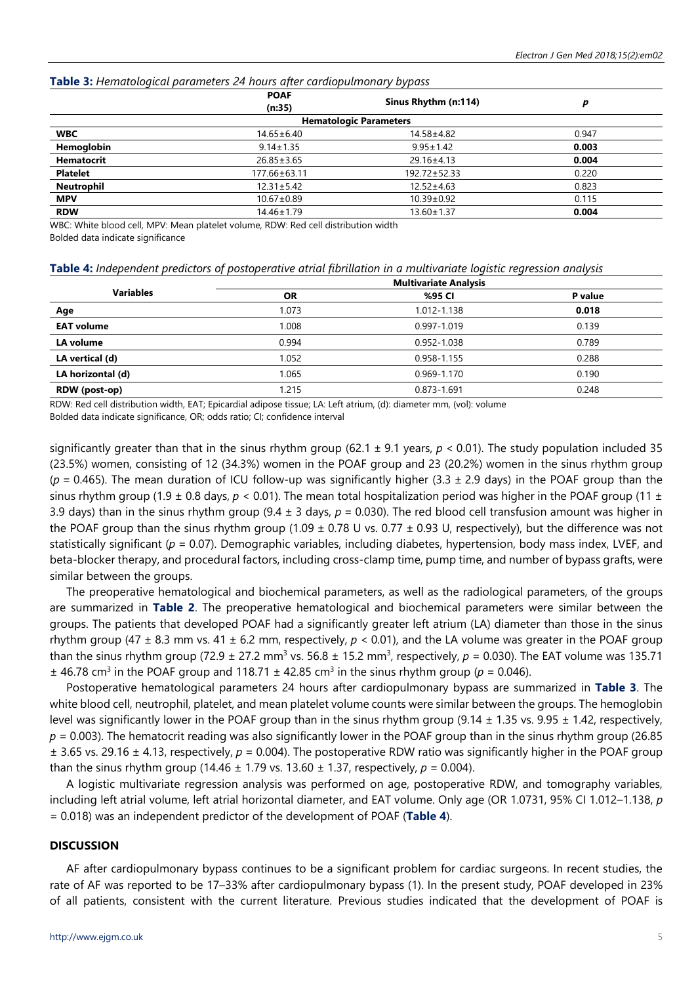| $\frac{1}{2}$ and $\frac{1}{2}$ are the contraction of the contraction of $\frac{1}{2}$ . The contract of the contraction of the contract of the contract of the contract of the contract of the contract of the contract of the contract<br>$-7.5 - 1.7$ |                       |                               |       |  |  |  |
|-----------------------------------------------------------------------------------------------------------------------------------------------------------------------------------------------------------------------------------------------------------|-----------------------|-------------------------------|-------|--|--|--|
|                                                                                                                                                                                                                                                           | <b>POAF</b><br>(n:35) | Sinus Rhythm (n:114)          |       |  |  |  |
|                                                                                                                                                                                                                                                           |                       | <b>Hematologic Parameters</b> |       |  |  |  |
| <b>WBC</b>                                                                                                                                                                                                                                                | $14.65 \pm 6.40$      | 14.58±4.82                    | 0.947 |  |  |  |
| Hemoglobin                                                                                                                                                                                                                                                | $9.14 \pm 1.35$       | $9.95 \pm 1.42$               | 0.003 |  |  |  |
| <b>Hematocrit</b>                                                                                                                                                                                                                                         | $26.85 \pm 3.65$      | $29.16 \pm 4.13$              | 0.004 |  |  |  |
| <b>Platelet</b>                                                                                                                                                                                                                                           | 177.66±63.11          | 192.72±52.33                  | 0.220 |  |  |  |
| <b>Neutrophil</b>                                                                                                                                                                                                                                         | $12.31 \pm 5.42$      | $12.52 \pm 4.63$              | 0.823 |  |  |  |
| <b>MPV</b>                                                                                                                                                                                                                                                | $10.67 \pm 0.89$      | $10.39 \pm 0.92$              | 0.115 |  |  |  |
| <b>RDW</b>                                                                                                                                                                                                                                                | $14.46 \pm 1.79$      | $13.60 \pm 1.37$              | 0.004 |  |  |  |

#### **Table 3:** *Hematological parameters 24 hours after cardiopulmonary bypass*

WBC: White blood cell, MPV: Mean platelet volume, RDW: Red cell distribution width Bolded data indicate significance

| Table 4: Independent predictors of postoperative atrial fibrillation in a multivariate logistic regression analysis |  |  |  |
|---------------------------------------------------------------------------------------------------------------------|--|--|--|
|                                                                                                                     |  |  |  |

|                   |           | <b>Multivariate Analysis</b> |         |
|-------------------|-----------|------------------------------|---------|
| <b>Variables</b>  | <b>OR</b> | %95 CI                       | P value |
| Age               | 1.073     | 1.012-1.138                  | 0.018   |
| <b>EAT volume</b> | 1.008     | 0.997-1.019                  | 0.139   |
| LA volume         | 0.994     | 0.952-1.038                  | 0.789   |
| LA vertical (d)   | 1.052     | 0.958-1.155                  | 0.288   |
| LA horizontal (d) | 1.065     | 0.969-1.170                  | 0.190   |
| RDW (post-op)     | 1.215     | 0.873-1.691                  | 0.248   |

RDW: Red cell distribution width, EAT; Epicardial adipose tissue; LA: Left atrium, (d): diameter mm, (vol): volume

Bolded data indicate significance, OR; odds ratio; CI; confidence interval

significantly greater than that in the sinus rhythm group (62.1  $\pm$  9.1 years,  $p < 0.01$ ). The study population included 35 (23.5%) women, consisting of 12 (34.3%) women in the POAF group and 23 (20.2%) women in the sinus rhythm group  $(p = 0.465)$ . The mean duration of ICU follow-up was significantly higher (3.3  $\pm$  2.9 days) in the POAF group than the sinus rhythm group (1.9  $\pm$  0.8 days,  $p < 0.01$ ). The mean total hospitalization period was higher in the POAF group (11  $\pm$ 3.9 days) than in the sinus rhythm group (9.4 ± 3 days, *p* = 0.030). The red blood cell transfusion amount was higher in the POAF group than the sinus rhythm group (1.09  $\pm$  0.78 U vs. 0.77  $\pm$  0.93 U, respectively), but the difference was not statistically significant (*p* = 0.07). Demographic variables, including diabetes, hypertension, body mass index, LVEF, and beta-blocker therapy, and procedural factors, including cross-clamp time, pump time, and number of bypass grafts, were similar between the groups.

The preoperative hematological and biochemical parameters, as well as the radiological parameters, of the groups are summarized in **Table 2**. The preoperative hematological and biochemical parameters were similar between the groups. The patients that developed POAF had a significantly greater left atrium (LA) diameter than those in the sinus rhythm group (47 ± 8.3 mm vs. 41 ± 6.2 mm, respectively, *p* < 0.01), and the LA volume was greater in the POAF group than the sinus rhythm group (72.9  $\pm$  27.2 mm<sup>3</sup> vs. 56.8  $\pm$  15.2 mm<sup>3</sup>, respectively,  $p = 0.030$ ). The EAT volume was 135.71  $\pm$  46.78 cm<sup>3</sup> in the POAF group and 118.71  $\pm$  42.85 cm<sup>3</sup> in the sinus rhythm group ( $p = 0.046$ ).

Postoperative hematological parameters 24 hours after cardiopulmonary bypass are summarized in **Table 3**. The white blood cell, neutrophil, platelet, and mean platelet volume counts were similar between the groups. The hemoglobin level was significantly lower in the POAF group than in the sinus rhythm group (9.14  $\pm$  1.35 vs. 9.95  $\pm$  1.42, respectively, *p* = 0.003). The hematocrit reading was also significantly lower in the POAF group than in the sinus rhythm group (26.85 ± 3.65 vs. 29.16 ± 4.13, respectively, *p* = 0.004). The postoperative RDW ratio was significantly higher in the POAF group than the sinus rhythm group (14.46  $\pm$  1.79 vs. 13.60  $\pm$  1.37, respectively,  $p = 0.004$ ).

A logistic multivariate regression analysis was performed on age, postoperative RDW, and tomography variables, including left atrial volume, left atrial horizontal diameter, and EAT volume. Only age (OR 1.0731, 95% CI 1.012–1.138, *p* = 0.018) was an independent predictor of the development of POAF (**Table 4**).

## **DISCUSSION**

AF after cardiopulmonary bypass continues to be a significant problem for cardiac surgeons. In recent studies, the rate of AF was reported to be 17–33% after cardiopulmonary bypass (1). In the present study, POAF developed in 23% of all patients, consistent with the current literature. Previous studies indicated that the development of POAF is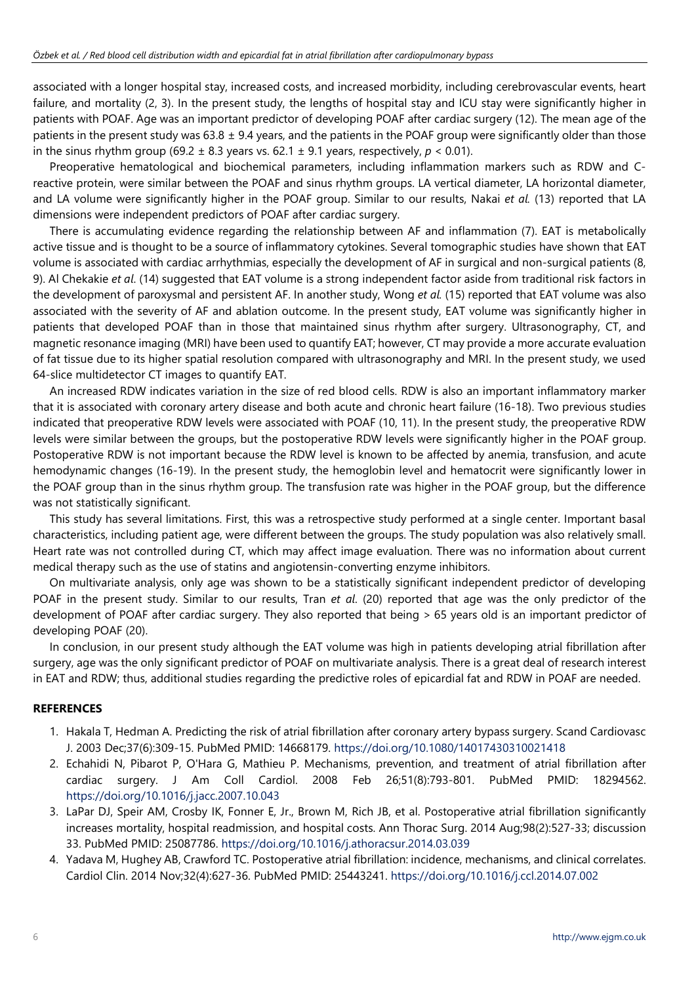associated with a longer hospital stay, increased costs, and increased morbidity, including cerebrovascular events, heart failure, and mortality (2, 3). In the present study, the lengths of hospital stay and ICU stay were significantly higher in patients with POAF. Age was an important predictor of developing POAF after cardiac surgery (12). The mean age of the patients in the present study was  $63.8 \pm 9.4$  years, and the patients in the POAF group were significantly older than those in the sinus rhythm group (69.2  $\pm$  8.3 years vs. 62.1  $\pm$  9.1 years, respectively,  $p < 0.01$ ).

Preoperative hematological and biochemical parameters, including inflammation markers such as RDW and Creactive protein, were similar between the POAF and sinus rhythm groups. LA vertical diameter, LA horizontal diameter, and LA volume were significantly higher in the POAF group. Similar to our results, Nakai *et al.* (13) reported that LA dimensions were independent predictors of POAF after cardiac surgery.

There is accumulating evidence regarding the relationship between AF and inflammation (7). EAT is metabolically active tissue and is thought to be a source of inflammatory cytokines. Several tomographic studies have shown that EAT volume is associated with cardiac arrhythmias, especially the development of AF in surgical and non-surgical patients (8, 9). Al Chekakie *et al*. (14) suggested that EAT volume is a strong independent factor aside from traditional risk factors in the development of paroxysmal and persistent AF. In another study, Wong *et al.* (15) reported that EAT volume was also associated with the severity of AF and ablation outcome. In the present study, EAT volume was significantly higher in patients that developed POAF than in those that maintained sinus rhythm after surgery. Ultrasonography, CT, and magnetic resonance imaging (MRI) have been used to quantify EAT; however, CT may provide a more accurate evaluation of fat tissue due to its higher spatial resolution compared with ultrasonography and MRI. In the present study, we used 64-slice multidetector CT images to quantify EAT.

An increased RDW indicates variation in the size of red blood cells. RDW is also an important inflammatory marker that it is associated with coronary artery disease and both acute and chronic heart failure (16-18). Two previous studies indicated that preoperative RDW levels were associated with POAF (10, 11). In the present study, the preoperative RDW levels were similar between the groups, but the postoperative RDW levels were significantly higher in the POAF group. Postoperative RDW is not important because the RDW level is known to be affected by anemia, transfusion, and acute hemodynamic changes (16-19). In the present study, the hemoglobin level and hematocrit were significantly lower in the POAF group than in the sinus rhythm group. The transfusion rate was higher in the POAF group, but the difference was not statistically significant.

This study has several limitations. First, this was a retrospective study performed at a single center. Important basal characteristics, including patient age, were different between the groups. The study population was also relatively small. Heart rate was not controlled during CT, which may affect image evaluation. There was no information about current medical therapy such as the use of statins and angiotensin-converting enzyme inhibitors.

On multivariate analysis, only age was shown to be a statistically significant independent predictor of developing POAF in the present study. Similar to our results, Tran *et al*. (20) reported that age was the only predictor of the development of POAF after cardiac surgery. They also reported that being > 65 years old is an important predictor of developing POAF (20).

In conclusion, in our present study although the EAT volume was high in patients developing atrial fibrillation after surgery, age was the only significant predictor of POAF on multivariate analysis. There is a great deal of research interest in EAT and RDW; thus, additional studies regarding the predictive roles of epicardial fat and RDW in POAF are needed.

## **REFERENCES**

- 1. Hakala T, Hedman A. Predicting the risk of atrial fibrillation after coronary artery bypass surgery. Scand Cardiovasc J. 2003 Dec;37(6):309-15. PubMed PMID: 14668179. <https://doi.org/10.1080/14017430310021418>
- 2. Echahidi N, Pibarot P, O'Hara G, Mathieu P. Mechanisms, prevention, and treatment of atrial fibrillation after cardiac surgery. J Am Coll Cardiol. 2008 Feb 26;51(8):793-801. PubMed PMID: 18294562. <https://doi.org/10.1016/j.jacc.2007.10.043>
- 3. LaPar DJ, Speir AM, Crosby IK, Fonner E, Jr., Brown M, Rich JB, et al. Postoperative atrial fibrillation significantly increases mortality, hospital readmission, and hospital costs. Ann Thorac Surg. 2014 Aug;98(2):527-33; discussion 33. PubMed PMID: 25087786. <https://doi.org/10.1016/j.athoracsur.2014.03.039>
- 4. Yadava M, Hughey AB, Crawford TC. Postoperative atrial fibrillation: incidence, mechanisms, and clinical correlates. Cardiol Clin. 2014 Nov;32(4):627-36. PubMed PMID: 25443241. <https://doi.org/10.1016/j.ccl.2014.07.002>